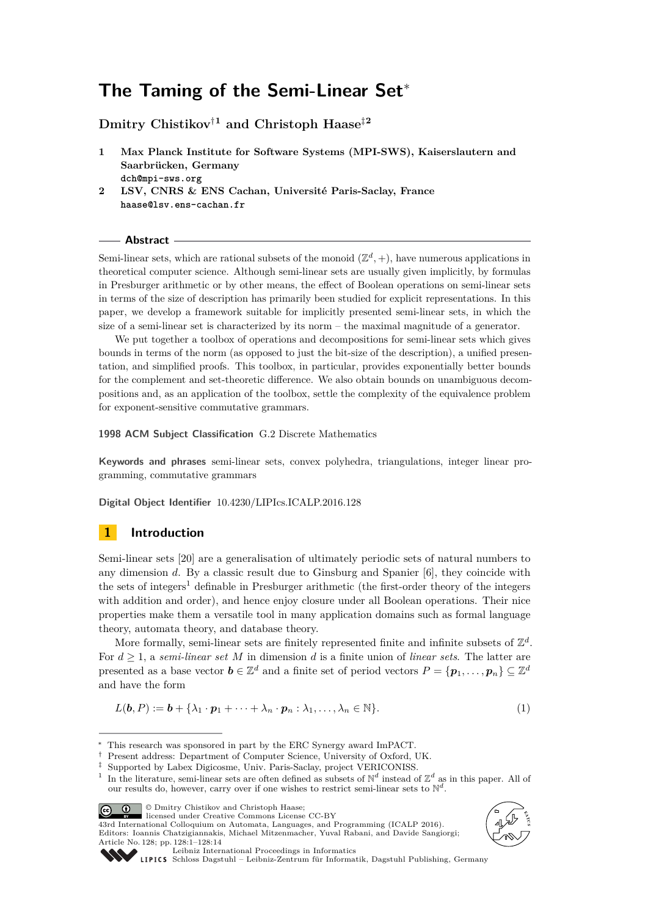# **The Taming of the Semi-Linear Set**<sup>∗</sup>

**Dmitry Chistikov**†**<sup>1</sup> and Christoph Haase**‡**<sup>2</sup>**

- **1 Max Planck Institute for Software Systems (MPI-SWS), Kaiserslautern and Saarbrücken, Germany dch@mpi-sws.org**
- **2 LSV, CNRS & ENS Cachan, Université Paris-Saclay, France haase@lsv.ens-cachan.fr**

**Abstract**

Semi-linear sets, which are rational subsets of the monoid  $(\mathbb{Z}^d, +)$ , have numerous applications in theoretical computer science. Although semi-linear sets are usually given implicitly, by formulas in Presburger arithmetic or by other means, the effect of Boolean operations on semi-linear sets in terms of the size of description has primarily been studied for explicit representations. In this paper, we develop a framework suitable for implicitly presented semi-linear sets, in which the size of a semi-linear set is characterized by its norm – the maximal magnitude of a generator.

We put together a toolbox of operations and decompositions for semi-linear sets which gives bounds in terms of the norm (as opposed to just the bit-size of the description), a unified presentation, and simplified proofs. This toolbox, in particular, provides exponentially better bounds for the complement and set-theoretic difference. We also obtain bounds on unambiguous decompositions and, as an application of the toolbox, settle the complexity of the equivalence problem for exponent-sensitive commutative grammars.

**1998 ACM Subject Classification** G.2 Discrete Mathematics

**Keywords and phrases** semi-linear sets, convex polyhedra, triangulations, integer linear programming, commutative grammars

**Digital Object Identifier** [10.4230/LIPIcs.ICALP.2016.128](http://dx.doi.org/10.4230/LIPIcs.ICALP.2016.128)

# **1 Introduction**

Semi-linear sets [\[20\]](#page-12-0) are a generalisation of ultimately periodic sets of natural numbers to any dimension *d*. By a classic result due to Ginsburg and Spanier [\[6\]](#page-12-1), they coincide with the sets of integers<sup>[1](#page-0-0)</sup> definable in Presburger arithmetic (the first-order theory of the integers with addition and order), and hence enjoy closure under all Boolean operations. Their nice properties make them a versatile tool in many application domains such as formal language theory, automata theory, and database theory.

More formally, semi-linear sets are finitely represented finite and infinite subsets of  $\mathbb{Z}^d$ . For  $d \geq 1$ , a *semi-linear set M* in dimension *d* is a finite union of *linear sets*. The latter are presented as a base vector  $\mathbf{b} \in \mathbb{Z}^d$  and a finite set of period vectors  $P = \{\mathbf{p}_1, \dots, \mathbf{p}_n\} \subseteq \mathbb{Z}^d$ and have the form

<span id="page-0-1"></span>
$$
L(\boldsymbol{b}, P) := \boldsymbol{b} + \{\lambda_1 \cdot \boldsymbol{p}_1 + \cdots + \lambda_n \cdot \boldsymbol{p}_n : \lambda_1, \ldots, \lambda_n \in \mathbb{N}\}.
$$
\n<sup>(1)</sup>

† Present address: Department of Computer Science, University of Oxford, UK.

© Dmitry Chistikov and Christoph Haase;

licensed under Creative Commons License CC-BY

43rd International Colloquium on Automata, Languages, and Programming (ICALP 2016). Editors: Ioannis Chatzigiannakis, Michael Mitzenmacher, Yuval Rabani, and Davide Sangiorgi; Article No. 128; pp. 128:1–128[:14](#page-13-0)





[Leibniz International Proceedings in Informatics](http://www.dagstuhl.de/lipics/)

This research was sponsored in part by the ERC Synergy award ImPACT.

<sup>‡</sup> Supported by Labex Digicosme, Univ. Paris-Saclay, project VERICONISS.

<span id="page-0-0"></span><sup>&</sup>lt;sup>1</sup> In the literature, semi-linear sets are often defined as subsets of  $\mathbb{N}^d$  instead of  $\mathbb{Z}^d$  as in this paper. All of our results do, however, carry over if one wishes to restrict semi-linear sets to  $\mathbb{N}^d$ .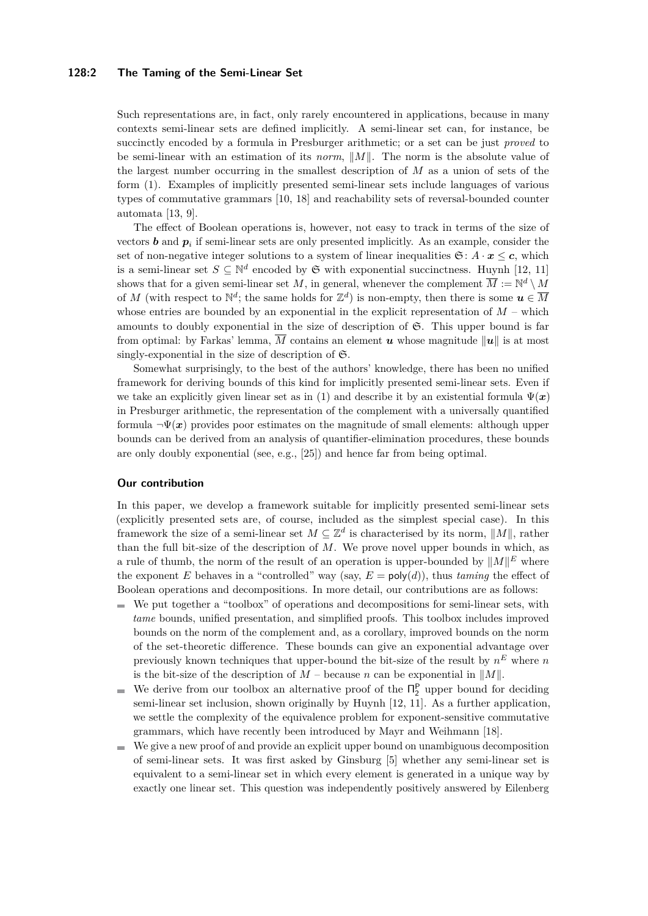### **128:2 The Taming of the Semi-Linear Set**

Such representations are, in fact, only rarely encountered in applications, because in many contexts semi-linear sets are defined implicitly. A semi-linear set can, for instance, be succinctly encoded by a formula in Presburger arithmetic; or a set can be just *proved* to be semi-linear with an estimation of its *norm*,  $||M||$ . The norm is the absolute value of the largest number occurring in the smallest description of *M* as a union of sets of the form [\(1\)](#page-0-1). Examples of implicitly presented semi-linear sets include languages of various types of commutative grammars [\[10,](#page-12-2) [18\]](#page-12-3) and reachability sets of reversal-bounded counter automata [\[13,](#page-12-4) [9\]](#page-12-5).

The effect of Boolean operations is, however, not easy to track in terms of the size of vectors *b* and  $p_i$  if semi-linear sets are only presented implicitly. As an example, consider the set of non-negative integer solutions to a system of linear inequalities  $\mathfrak{S}: A \cdot x \leq c$ , which is a semi-linear set  $S \subseteq \mathbb{N}^d$  encoded by  $\mathfrak{S}$  with exponential succinctness. Huynh [\[12,](#page-12-6) [11\]](#page-12-7) shows that for a given semi-linear set M, in general, whenever the complement  $\overline{M} := \mathbb{N}^d \setminus M$ of *M* (with respect to  $\mathbb{N}^d$ ; the same holds for  $\mathbb{Z}^d$ ) is non-empty, then there is some  $u \in \overline{M}$ whose entries are bounded by an exponential in the explicit representation of  $M$  – which amounts to doubly exponential in the size of description of S. This upper bound is far from optimal: by Farkas' lemma,  $\overline{M}$  contains an element **u** whose magnitude  $||u||$  is at most singly-exponential in the size of description of  $\mathfrak{S}$ .

Somewhat surprisingly, to the best of the authors' knowledge, there has been no unified framework for deriving bounds of this kind for implicitly presented semi-linear sets. Even if we take an explicitly given linear set as in [\(1\)](#page-0-1) and describe it by an existential formula  $\Psi(x)$ in Presburger arithmetic, the representation of the complement with a universally quantified formula  $\neg \Psi(x)$  provides poor estimates on the magnitude of small elements: although upper bounds can be derived from an analysis of quantifier-elimination procedures, these bounds are only doubly exponential (see, e.g., [\[25\]](#page-12-8)) and hence far from being optimal.

### **Our contribution**

In this paper, we develop a framework suitable for implicitly presented semi-linear sets (explicitly presented sets are, of course, included as the simplest special case). In this framework the size of a semi-linear set  $M \subseteq \mathbb{Z}^d$  is characterised by its norm,  $||M||$ , rather than the full bit-size of the description of *M*. We prove novel upper bounds in which, as a rule of thumb, the norm of the result of an operation is upper-bounded by  $||M||^E$  where the exponent *E* behaves in a "controlled" way (say,  $E = \text{poly}(d)$ ), thus *taming* the effect of Boolean operations and decompositions. In more detail, our contributions are as follows:

- We put together a "toolbox" of operations and decompositions for semi-linear sets, with *tame* bounds, unified presentation, and simplified proofs. This toolbox includes improved bounds on the norm of the complement and, as a corollary, improved bounds on the norm of the set-theoretic difference. These bounds can give an exponential advantage over previously known techniques that upper-bound the bit-size of the result by  $n^E$  where *n* is the bit-size of the description of  $M$  – because  $n$  can be exponential in  $||M||$ .
- We derive from our toolbox an alternative proof of the  $\Pi_2^{\mathsf{P}}$  upper bound for deciding  $\sim$ semi-linear set inclusion, shown originally by Huynh [\[12,](#page-12-6) [11\]](#page-12-7). As a further application, we settle the complexity of the equivalence problem for exponent-sensitive commutative grammars, which have recently been introduced by Mayr and Weihmann [\[18\]](#page-12-3).
- We give a new proof of and provide an explicit upper bound on unambiguous decomposition  $\sim$ of semi-linear sets. It was first asked by Ginsburg [\[5\]](#page-12-9) whether any semi-linear set is equivalent to a semi-linear set in which every element is generated in a unique way by exactly one linear set. This question was independently positively answered by Eilenberg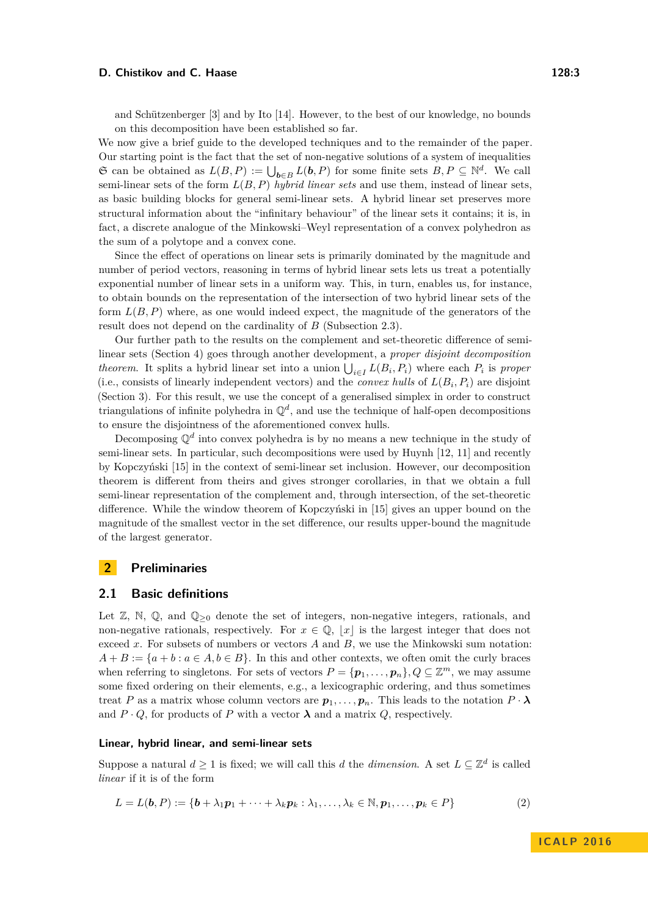on this decomposition have been established so far. We now give a brief guide to the developed techniques and to the remainder of the paper. Our starting point is the fact that the set of non-negative solutions of a system of inequalities G can be obtained as  $L(B, P) := \bigcup_{b \in B} L(b, P)$  for some finite sets  $B, P \subseteq \mathbb{N}^d$ . We call semi-linear sets of the form *L*(*B, P*) *hybrid linear sets* and use them, instead of linear sets, as basic building blocks for general semi-linear sets. A hybrid linear set preserves more structural information about the "infinitary behaviour" of the linear sets it contains; it is, in fact, a discrete analogue of the Minkowski–Weyl representation of a convex polyhedron as the sum of a polytope and a convex cone.

Since the effect of operations on linear sets is primarily dominated by the magnitude and number of period vectors, reasoning in terms of hybrid linear sets lets us treat a potentially exponential number of linear sets in a uniform way. This, in turn, enables us, for instance, to obtain bounds on the representation of the intersection of two hybrid linear sets of the form *L*(*B, P*) where, as one would indeed expect, the magnitude of the generators of the result does not depend on the cardinality of *B* (Subsection [2.3\)](#page-5-0).

Our further path to the results on the complement and set-theoretic difference of semilinear sets (Section [4\)](#page-8-0) goes through another development, a *proper disjoint decomposition theorem*. It splits a hybrid linear set into a union  $\bigcup_{i \in I} L(B_i, P_i)$  where each  $P_i$  is proper (i.e., consists of linearly independent vectors) and the *convex hulls* of  $L(B_i, P_i)$  are disjoint (Section [3\)](#page-5-1). For this result, we use the concept of a generalised simplex in order to construct triangulations of infinite polyhedra in  $\mathbb{Q}^d$ , and use the technique of half-open decompositions to ensure the disjointness of the aforementioned convex hulls.

Decomposing Q*<sup>d</sup>* into convex polyhedra is by no means a new technique in the study of semi-linear sets. In particular, such decompositions were used by Huynh [\[12,](#page-12-6) [11\]](#page-12-7) and recently by Kopczyński [\[15\]](#page-12-11) in the context of semi-linear set inclusion. However, our decomposition theorem is different from theirs and gives stronger corollaries, in that we obtain a full semi-linear representation of the complement and, through intersection, of the set-theoretic difference. While the window theorem of Kopczyński in [\[15\]](#page-12-11) gives an upper bound on the magnitude of the smallest vector in the set difference, our results upper-bound the magnitude of the largest generator.

### **2 Preliminaries**

# **2.1 Basic definitions**

Let  $\mathbb{Z}, \mathbb{N}, \mathbb{Q},$  and  $\mathbb{Q}_{\geq 0}$  denote the set of integers, non-negative integers, rationals, and non-negative rationals, respectively. For  $x \in \mathbb{Q}$ ,  $|x|$  is the largest integer that does not exceed *x*. For subsets of numbers or vectors *A* and *B*, we use the Minkowski sum notation:  $A + B := \{a + b : a \in A, b \in B\}$ . In this and other contexts, we often omit the curly braces when referring to singletons. For sets of vectors  $P = {\bf{p}_1, \ldots, p_n}$ ,  $Q \subseteq \mathbb{Z}^m$ , we may assume some fixed ordering on their elements, e.g., a lexicographic ordering, and thus sometimes treat *P* as a matrix whose column vectors are  $p_1, \ldots, p_n$ . This leads to the notation  $P \cdot \lambda$ and  $P \cdot Q$ , for products of *P* with a vector  $\lambda$  and a matrix *Q*, respectively.

### **Linear, hybrid linear, and semi-linear sets**

Suppose a natural  $d \geq 1$  is fixed; we will call this *d* the *dimension*. A set  $L \subseteq \mathbb{Z}^d$  is called *linear* if it is of the form

<span id="page-2-0"></span>
$$
L = L(\mathbf{b}, P) := \{ \mathbf{b} + \lambda_1 \mathbf{p}_1 + \dots + \lambda_k \mathbf{p}_k : \lambda_1, \dots, \lambda_k \in \mathbb{N}, \mathbf{p}_1, \dots, \mathbf{p}_k \in P \}
$$
(2)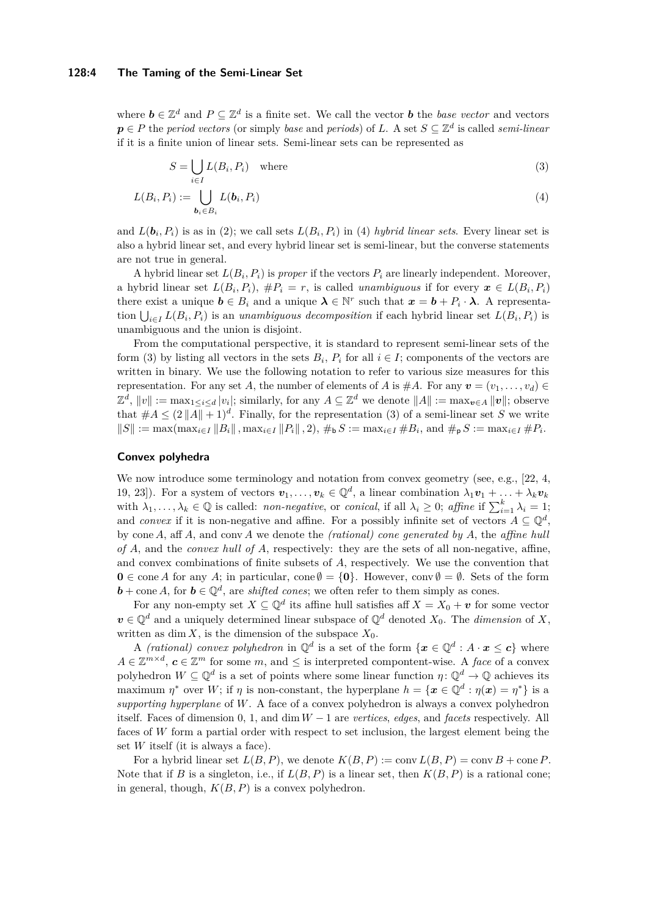### **128:4 The Taming of the Semi-Linear Set**

where  $\mathbf{b} \in \mathbb{Z}^d$  and  $P \subseteq \mathbb{Z}^d$  is a finite set. We call the vector  $\mathbf{b}$  the *base vector* and vectors  $p \in P$  the *period vectors* (or simply *base* and *periods*) of *L*. A set  $S \subseteq \mathbb{Z}^d$  is called *semi-linear* if it is a finite union of linear sets. Semi-linear sets can be represented as

<span id="page-3-1"></span><span id="page-3-0"></span>
$$
S = \bigcup_{i \in I} L(B_i, P_i) \quad \text{where} \tag{3}
$$

$$
L(B_i, P_i) := \bigcup_{\mathbf{b}_i \in B_i} L(\mathbf{b}_i, P_i)
$$
\n<sup>(4)</sup>

and  $L(\boldsymbol{b}_i, P_i)$  is as in [\(2\)](#page-2-0); we call sets  $L(B_i, P_i)$  in [\(4\)](#page-3-0) *hybrid linear sets*. Every linear set is also a hybrid linear set, and every hybrid linear set is semi-linear, but the converse statements are not true in general.

A hybrid linear set  $L(B_i, P_i)$  is *proper* if the vectors  $P_i$  are linearly independent. Moreover, a hybrid linear set  $L(B_i, P_i)$ ,  $\#P_i = r$ , is called *unambiguous* if for every  $x \in L(B_i, P_i)$ there exist a unique  $\mathbf{b} \in B_i$  and a unique  $\mathbf{\lambda} \in \mathbb{N}^r$  such that  $\mathbf{x} = \mathbf{b} + P_i \cdot \mathbf{\lambda}$ . A representation  $\bigcup_{i \in I} L(B_i, P_i)$  is an *unambiguous decomposition* if each hybrid linear set  $L(B_i, P_i)$  is unambiguous and the union is disjoint.

From the computational perspective, it is standard to represent semi-linear sets of the form [\(3\)](#page-3-1) by listing all vectors in the sets  $B_i$ ,  $P_i$  for all  $i \in I$ ; components of the vectors are written in binary. We use the following notation to refer to various size measures for this representation. For any set *A*, the number of elements of *A* is  $#A$ . For any  $v = (v_1, \ldots, v_d)$  $\mathbb{Z}^d$ ,  $||v|| := \max_{1 \le i \le d} |v_i|$ ; similarly, for any  $A \subseteq \mathbb{Z}^d$  we denote  $||A|| := \max_{\mathbf{v} \in A} ||\mathbf{v}||$ ; observe that  $#A \leq (2||A|| + 1)^d$ . Finally, for the representation [\(3\)](#page-3-1) of a semi-linear set S we write  $||S|| := \max(\max_{i \in I} ||B_i||, \max_{i \in I} ||P_i||, 2), \#_{\mathbf{b}} S := \max_{i \in I} \#B_i$ , and  $\#_{\mathbf{p}} S := \max_{i \in I} \#P_i$ .

### **Convex polyhedra**

We now introduce some terminology and notation from convex geometry (see, e.g., [\[22,](#page-12-12) [4,](#page-12-13) [19,](#page-12-14) [23\]](#page-12-15)). For a system of vectors  $v_1, \ldots, v_k \in \mathbb{Q}^d$ , a linear combination  $\lambda_1 v_1 + \ldots + \lambda_k v_k$ with  $\lambda_1, \ldots, \lambda_k \in \mathbb{Q}$  is called: *non-negative*, or *conical*, if all  $\lambda_i \geq 0$ ; affine if  $\sum_{i=1}^k \lambda_i = 1$ ; and *convex* if it is non-negative and affine. For a possibly infinite set of vectors  $A \subseteq \mathbb{Q}^d$ , by cone *A*, aff *A*, and conv *A* we denote the *(rational) cone generated by A*, the *affine hull of A*, and the *convex hull of A*, respectively: they are the sets of all non-negative, affine, and convex combinations of finite subsets of *A*, respectively. We use the convention that **0** ∈ cone *A* for any *A*; in particular, cone  $\emptyset = \{0\}$ . However, conv  $\emptyset = \emptyset$ . Sets of the form **, for**  $**b** \in \mathbb{Q}^d$ **, are** *shifted cones***; we often refer to them simply as cones.** 

For any non-empty set  $X \subseteq \mathbb{Q}^d$  its affine hull satisfies aff  $X = X_0 + v$  for some vector  $v \in \mathbb{Q}^d$  and a uniquely determined linear subspace of  $\mathbb{Q}^d$  denoted  $X_0$ . The *dimension* of X, written as dim *X*, is the dimension of the subspace  $X_0$ .

A *(rational) convex polyhedron* in  $\mathbb{Q}^d$  is a set of the form  $\{x \in \mathbb{Q}^d : A \cdot x \leq c\}$  where  $A \in \mathbb{Z}^{m \times d}$ ,  $c \in \mathbb{Z}^m$  for some  $m$ , and  $\leq$  is interpreted compontent-wise. A *face* of a convex polyhedron  $W \subseteq \mathbb{Q}^d$  is a set of points where some linear function  $\eta \colon \mathbb{Q}^d \to \mathbb{Q}$  achieves its maximum  $\eta^*$  over *W*; if  $\eta$  is non-constant, the hyperplane  $h = {\mathbf{x} \in \mathbb{Q}^d : \eta(\mathbf{x}) = \eta^*}$  is a *supporting hyperplane* of *W*. A face of a convex polyhedron is always a convex polyhedron itself. Faces of dimension 0, 1, and dim *W* − 1 are *vertices*, *edges*, and *facets* respectively. All faces of *W* form a partial order with respect to set inclusion, the largest element being the set *W* itself (it is always a face).

For a hybrid linear set  $L(B, P)$ , we denote  $K(B, P) := \text{conv } L(B, P) = \text{conv } B + \text{cone } P$ . Note that if *B* is a singleton, i.e., if  $L(B, P)$  is a linear set, then  $K(B, P)$  is a rational cone; in general, though,  $K(B, P)$  is a convex polyhedron.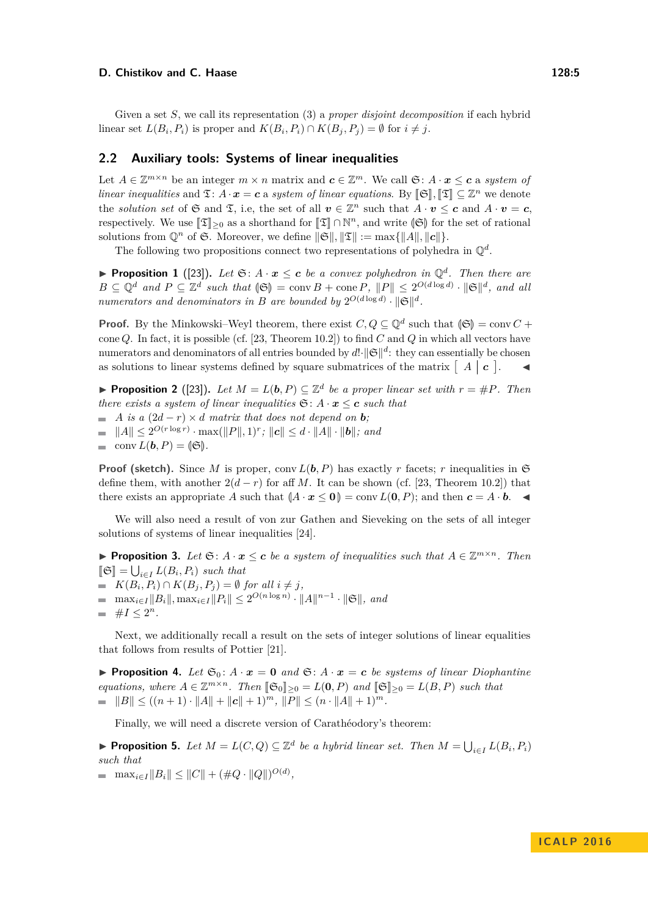Given a set *S*, we call its representation [\(3\)](#page-3-1) a *proper disjoint decomposition* if each hybrid linear set  $L(B_i, P_i)$  is proper and  $K(B_i, P_i) \cap K(B_j, P_j) = \emptyset$  for  $i \neq j$ .

### **2.2 Auxiliary tools: Systems of linear inequalities**

Let  $A \in \mathbb{Z}^{m \times n}$  be an integer  $m \times n$  matrix and  $c \in \mathbb{Z}^m$ . We call  $\mathfrak{S}: A \cdot x \leq c$  a *system of linear inequalities* and  $\mathfrak{T}: A \cdot \mathfrak{x} = \mathbf{c}$  a *system of linear equations.* By  $[\mathfrak{S}],[\mathfrak{T}] \subseteq \mathbb{Z}^n$  we denote the *solution set* of  $\mathfrak{S}$  and  $\mathfrak{T}$ , i.e, the set of all  $v \in \mathbb{Z}^n$  such that  $A \cdot v \leq c$  and  $A \cdot v = c$ , respectively. We use  $[\mathfrak{T}]_{\geq 0}$  as a shorthand for  $[\mathfrak{T}] \cap \mathbb{N}^n$ , and write  $(\mathfrak{S})$  for the set of rational solutions from  $\mathbb{Q}^n$  of G. Moreover, we define  $\|\mathfrak{S}\|$ ,  $\|\mathfrak{T}\| := \max\{\|A\|, \|c\|\}.$ 

The following two propositions connect two representations of polyhedra in  $\mathbb{Q}^d$ .

<span id="page-4-3"></span>**Proposition 1** ([\[23\]](#page-12-15)). Let  $\mathfrak{S}: A \cdot x \leq c$  be a convex polyhedron in  $\mathbb{Q}^d$ . Then there are  $B \subseteq \mathbb{Q}^d$  and  $P \subseteq \mathbb{Z}^d$  such that  $\langle \mathfrak{S} \rangle = \text{conv } B + \text{cone } P$ ,  $\|P\| \leq 2^{O(d \log d)} \cdot \|\mathfrak{S}\|^d$ , and all *numerators and denominators in B are bounded by*  $2^{O(d \log d)} \cdot ||\mathfrak{S}||^d$ .

**Proof.** By the Minkowski–Weyl theorem, there exist  $C, Q \subseteq \mathbb{Q}^d$  such that  $(\mathfrak{S}) = \text{conv } C +$ cone *Q*. In fact, it is possible (cf. [\[23,](#page-12-15) Theorem 10.2]) to find *C* and *Q* in which all vectors have numerators and denominators of all entries bounded by  $d! \cdot ||\mathfrak{S}||^d$ : they can essentially be chosen as solutions to linear systems defined by square submatrices of the matrix  $\begin{bmatrix} A & c \end{bmatrix}$ .

<span id="page-4-2"></span>**Proposition 2** ([\[23\]](#page-12-15)). Let  $M = L(b, P) \subseteq \mathbb{Z}^d$  be a proper linear set with  $r = \#P$ . Then *there exists a system of linear inequalities*  $\mathfrak{S}: A \cdot \mathbf{x} \leq \mathbf{c}$  *such that* 

- $\blacksquare$  *A is a* (2*d* − *r*)  $\times$  *d matrix that does not depend on b*;
- $||A|| \leq 2^{O(r \log r)} \cdot \max(||P||, 1)^r$ ;  $||c|| \leq d \cdot ||A|| \cdot ||b||$ ; and
- conv  $L(b, P) = |\mathfrak{S}|$ .

**Proof (sketch).** Since *M* is proper, conv  $L(b, P)$  has exactly *r* facets; *r* inequalities in  $\mathfrak{S}$ define them, with another  $2(d - r)$  for aff *M*. It can be shown (cf. [\[23,](#page-12-15) Theorem 10.2]) that there exists an appropriate *A* such that  $(A \cdot x \leq 0) = \text{conv } L(0, P)$ ; and then  $c = A \cdot b$ .

We will also need a result of von zur Gathen and Sieveking on the sets of all integer solutions of systems of linear inequalities [\[24\]](#page-12-16).

<span id="page-4-4"></span>**Proposition 3.** Let  $\mathfrak{S}: A \cdot x \leq c$  be a system of inequalities such that  $A \in \mathbb{Z}^{m \times n}$ . Then  $[\![\mathfrak{S}]\!] = \bigcup_{i \in I} L(B_i, P_i)$  such that

- $K(B_i, P_i) \cap K(B_j, P_j) = \emptyset$  *for all*  $i \neq j$ *,*
- $\max_{i \in I} \|B_i\|, \max_{i \in I} \|P_i\| \leq 2^{O(n \log n)} \cdot \|A\|^{n-1} \cdot \|\mathfrak{S}\|,$  and
- $\#I \leq 2^n$ .

Next, we additionally recall a result on the sets of integer solutions of linear equalities that follows from results of Pottier [\[21\]](#page-12-17).

<span id="page-4-1"></span>**Proposition 4.** Let  $\mathfrak{S}_0$ :  $A \cdot x = 0$  and  $\mathfrak{S}: A \cdot x = c$  be systems of linear Diophantine *equations, where*  $A \in \mathbb{Z}^{m \times n}$ *. Then*  $[\mathfrak{S}_0]_{\geq 0} = L(\mathbf{0}, P)$  and  $[\mathfrak{S}]_{\geq 0} = L(B, P)$  such that  $\|B\| \leq ((n+1) \cdot \|A\| + \|c\| + 1)^m, \|P\| \leq (n \cdot \|A\| + 1)^m.$ 

Finally, we will need a discrete version of Carathéodory's theorem:

<span id="page-4-0"></span>▶ **Proposition 5.** Let  $M = L(C, Q) \subseteq \mathbb{Z}^d$  be a hybrid linear set. Then  $M = \bigcup_{i \in I} L(B_i, P_i)$ *such that*

 $\max_{i \in I} \|B_i\| \leq \|C\| + (\#Q \cdot \|Q\|)^{O(d)},$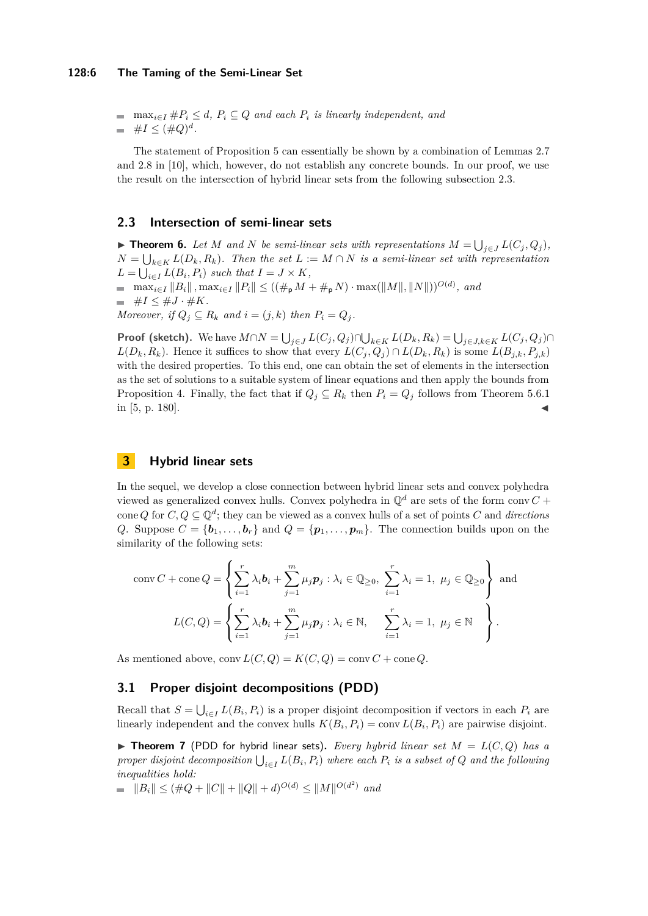### **128:6 The Taming of the Semi-Linear Set**

■  $\max_{i \in I} \#P_i \leq d$ ,  $P_i \subseteq Q$  *and each*  $P_i$  *is linearly independent, and*  $\#I \leq (\#Q)^d$ .

The statement of Proposition [5](#page-4-0) can essentially be shown by a combination of Lemmas 2.7 and 2.8 in [\[10\]](#page-12-2), which, however, do not establish any concrete bounds. In our proof, we use the result on the intersection of hybrid linear sets from the following subsection [2.3.](#page-5-0)

### <span id="page-5-0"></span>**2.3 Intersection of semi-linear sets**

<span id="page-5-3"></span>▶ **Theorem 6.** Let *M* and *N* be semi-linear sets with representations  $M = \bigcup_{j \in J} L(C_j, Q_j)$ ,  $N = \bigcup_{k \in K} L(D_k, R_k)$ . Then the set  $L := M \cap N$  is a semi-linear set with representation  $L = \bigcup_{i \in I} L(B_i, P_i)$  *such that*  $I = J \times K$ *,*  $\max_{i \in I} \|B_i\|$ ,  $\max_{i \in I} \|P_i\| \le ((\#_{\mathsf{p}} M + \#_{\mathsf{p}} N) \cdot \max(\|M\|, \|N\|))^{O(d)}$ , and  $\equiv \#I \leq \#J \cdot \#K.$ *Moreover, if*  $Q_i \subseteq R_k$  *and*  $i = (j, k)$  *then*  $P_i = Q_i$ *.* 

**Proof (sketch).** We have  $M \cap N = \bigcup_{j \in J} L(C_j, Q_j) \cap \bigcup_{k \in K} L(D_k, R_k) = \bigcup_{j \in J, k \in K} L(C_j, Q_j) \cap L(K)$  $L(D_k, R_k)$ . Hence it suffices to show that every  $L(C_i, Q_i) \cap L(D_k, R_k)$  is some  $L(B_{i,k}, P_{i,k})$ with the desired properties. To this end, one can obtain the set of elements in the intersection as the set of solutions to a suitable system of linear equations and then apply the bounds from Proposition [4.](#page-4-1) Finally, the fact that if  $Q_j \subseteq R_k$  then  $P_i = Q_j$  follows from Theorem 5.6.1 in  $[5, p. 180]$  $[5, p. 180]$ .

# <span id="page-5-1"></span>**3 Hybrid linear sets**

In the sequel, we develop a close connection between hybrid linear sets and convex polyhedra viewed as generalized convex hulls. Convex polyhedra in  $\mathbb{Q}^d$  are sets of the form conv  $C$  + cone *Q* for  $C, Q \subseteq \mathbb{Q}^d$ ; they can be viewed as a convex hulls of a set of points *C* and *directions Q*. Suppose  $C = \{b_1, \ldots, b_r\}$  and  $Q = \{p_1, \ldots, p_m\}$ . The connection builds upon on the similarity of the following sets:

$$
\text{conv } C + \text{cone } Q = \left\{ \sum_{i=1}^{r} \lambda_i \mathbf{b}_i + \sum_{j=1}^{m} \mu_j \mathbf{p}_j : \lambda_i \in \mathbb{Q}_{\geq 0}, \ \sum_{i=1}^{r} \lambda_i = 1, \ \mu_j \in \mathbb{Q}_{\geq 0} \right\} \text{ and}
$$

$$
L(C, Q) = \left\{ \sum_{i=1}^{r} \lambda_i \mathbf{b}_i + \sum_{j=1}^{m} \mu_j \mathbf{p}_j : \lambda_i \in \mathbb{N}, \quad \sum_{i=1}^{r} \lambda_i = 1, \ \mu_j \in \mathbb{N} \right\}.
$$

As mentioned above,  $conv L(C, Q) = K(C, Q) = conv C + cone Q$ .

# **3.1 Proper disjoint decompositions (PDD)**

Recall that  $S = \bigcup_{i \in I} L(B_i, P_i)$  is a proper disjoint decomposition if vectors in each  $P_i$  are linearly independent and the convex hulls  $K(B_i, P_i) = \text{conv } L(B_i, P_i)$  are pairwise disjoint.

<span id="page-5-2"></span> $\triangleright$  **Theorem 7** (PDD for hybrid linear sets). *Every hybrid linear set*  $M = L(C,Q)$  *has a proper disjoint decomposition*  $\bigcup_{i \in I} L(B_i, P_i)$  *where each*  $P_i$  *is a subset of*  $Q$  *and the following inequalities hold:*

 $||B_i|| \leq (\#Q + ||C|| + ||Q|| + d)^{O(d)} \leq ||M||^{O(d^2)}$  and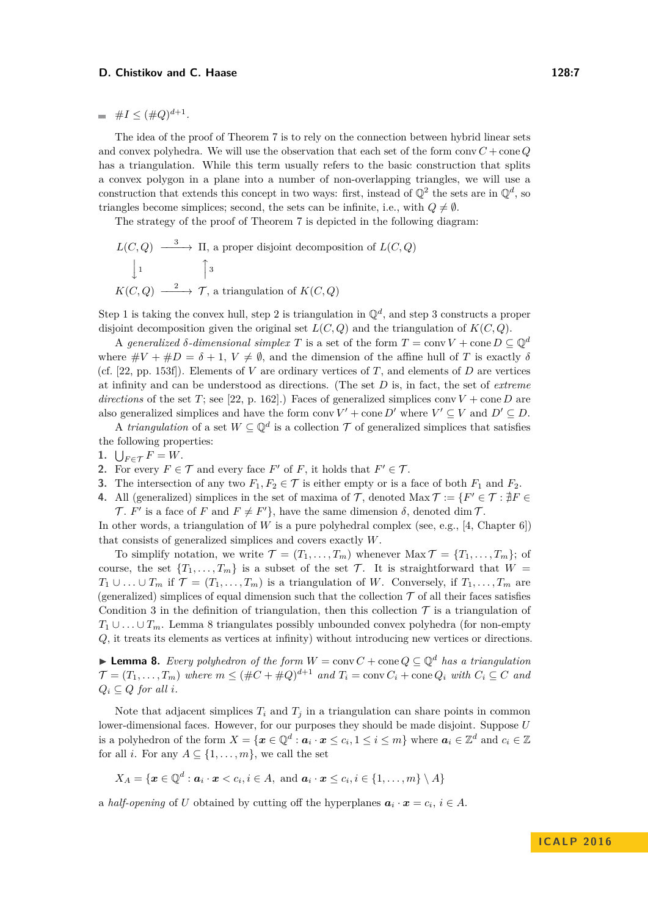$\#I \leq (\#Q)^{d+1}.$ 

The idea of the proof of Theorem [7](#page-5-2) is to rely on the connection between hybrid linear sets and convex polyhedra. We will use the observation that each set of the form  $conv C + cone Q$ has a triangulation. While this term usually refers to the basic construction that splits a convex polygon in a plane into a number of non-overlapping triangles, we will use a construction that extends this concept in two ways: first, instead of  $\mathbb{Q}^2$  the sets are in  $\mathbb{Q}^d$ , so triangles become simplices; second, the sets can be infinite, i.e., with  $Q \neq \emptyset$ .

The strategy of the proof of Theorem [7](#page-5-2) is depicted in the following diagram:

$$
L(C,Q) \xrightarrow{\phantom{a}3\phantom{a}} \Pi, \text{ a proper disjoint decomposition of } L(C,Q)
$$
  

$$
\downarrow 1
$$
  

$$
K(C,Q) \xrightarrow{\phantom{a}2\phantom{a}} \mathcal{T}, \text{ a triangulation of } K(C,Q)
$$

Step 1 is taking the convex hull, step 2 is triangulation in  $\mathbb{Q}^d$ , and step 3 constructs a proper disjoint decomposition given the original set  $L(C, Q)$  and the triangulation of  $K(C, Q)$ .

A *generalized*  $\delta$ -dimensional simplex T is a set of the form  $T = \text{conv } V + \text{cone } D \subset \mathbb{Q}^d$ where  $\#V + \#D = \delta + 1$ ,  $V \neq \emptyset$ , and the dimension of the affine hull of *T* is exactly  $\delta$ (cf.  $[22, pp. 153f]$  $[22, pp. 153f]$ ). Elements of *V* are ordinary vertices of *T*, and elements of *D* are vertices at infinity and can be understood as directions. (The set *D* is, in fact, the set of *extreme directions* of the set *T*; see [\[22,](#page-12-12) p. 162].) Faces of generalized simplices conv  $V +$  cone *D* are also generalized simplices and have the form conv  $V' +$  cone  $D'$  where  $V' \subseteq V$  and  $D' \subseteq D$ .

A *triangulation* of a set  $W \subseteq \mathbb{Q}^d$  is a collection  $\mathcal T$  of generalized simplices that satisfies the following properties:

- 1.  $\bigcup_{F \in \mathcal{T}} F = W$ .
- **2.** For every  $F \in \mathcal{T}$  and every face  $F'$  of  $F$ , it holds that  $F' \in \mathcal{T}$ .
- <span id="page-6-0"></span>**3.** The intersection of any two  $F_1, F_2 \in \mathcal{T}$  is either empty or is a face of both  $F_1$  and  $F_2$ .
- **4.** All (generalized) simplices in the set of maxima of  $\mathcal{T}$ , denoted Max  $\mathcal{T} := \{F' \in \mathcal{T} : \nexists F \in \mathcal{T} : F \in \mathcal{T} : F \in \mathcal{T} \}$ T.  $F'$  is a face of F and  $F \neq F'$ , have the same dimension  $\delta$ , denoted dim T.

In other words, a triangulation of *W* is a pure polyhedral complex (see, e.g., [\[4,](#page-12-13) Chapter 6]) that consists of generalized simplices and covers exactly *W*.

To simplify notation, we write  $\mathcal{T} = (T_1, \ldots, T_m)$  whenever  $\text{Max }\mathcal{T} = \{T_1, \ldots, T_m\}$ ; of course, the set  ${T_1, \ldots, T_m}$  is a subset of the set  $\mathcal T$ . It is straightforward that  $W =$ *T*<sub>1</sub>∪ *..* . ∪ *T*<sub>*m*</sub> if  $\mathcal{T} = (T_1, \ldots, T_m)$  is a triangulation of *W*. Conversely, if  $T_1, \ldots, T_m$  are (generalized) simplices of equal dimension such that the collection  $\mathcal T$  of all their faces satisfies Condition [3](#page-6-0) in the definition of triangulation, then this collection  $\mathcal T$  is a triangulation of  $T_1 \cup \ldots \cup T_m$ . Lemma [8](#page-6-1) triangulates possibly unbounded convex polyhedra (for non-empty *Q*, it treats its elements as vertices at infinity) without introducing new vertices or directions.

<span id="page-6-1"></span>**► Lemma 8.** *Every polyhedron of the form*  $W = \text{conv } C + \text{cone } Q \subseteq \mathbb{Q}^d$  *has a triangulation*  $\mathcal{T} = (T_1, \ldots, T_m)$  where  $m \leq (\#C + \#Q)^{d+1}$  and  $T_i = \text{conv } C_i + \text{cone } Q_i$  with  $C_i \subseteq C$  and  $Q_i \subseteq Q$  *for all i.* 

Note that adjacent simplices  $T_i$  and  $T_j$  in a triangulation can share points in common lower-dimensional faces. However, for our purposes they should be made disjoint. Suppose *U* is a polyhedron of the form  $X = \{x \in \mathbb{Q}^d : a_i \cdot x \le c_i, 1 \le i \le m\}$  where  $a_i \in \mathbb{Z}^d$  and  $c_i \in \mathbb{Z}$ for all *i*. For any  $A \subseteq \{1, \ldots, m\}$ , we call the set

$$
X_A = \{ \mathbf{x} \in \mathbb{Q}^d : \mathbf{a}_i \cdot \mathbf{x} < c_i, i \in A, \text{ and } \mathbf{a}_i \cdot \mathbf{x} \leq c_i, i \in \{1, \dots, m\} \setminus A \}
$$

a *half-opening* of *U* obtained by cutting off the hyperplanes  $a_i \cdot x = c_i, i \in A$ .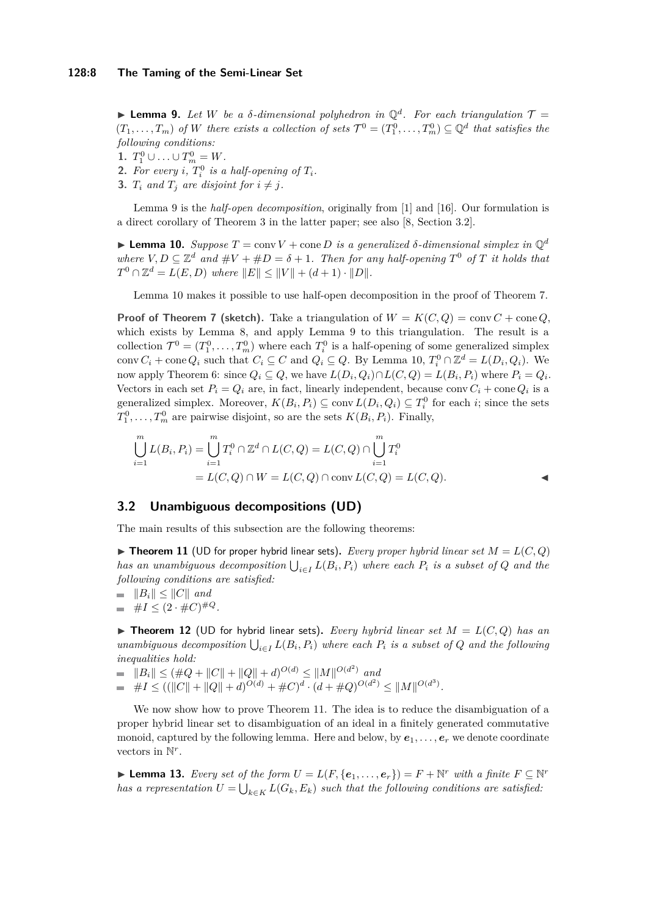<span id="page-7-0"></span>**Lemma 9.** Let W be a  $\delta$ -dimensional polyhedron in  $\mathbb{Q}^d$ . For each triangulation  $\mathcal{T} =$  $(T_1, \ldots, T_m)$  of W there exists a collection of sets  $\mathcal{T}^0 = (T_1^0, \ldots, T_m^0) \subseteq \mathbb{Q}^d$  that satisfies the *following conditions:*

1.  $T_1^0 \cup ... \cup T_m^0 = W$ .

- **2.** For every *i*,  $T_i^0$  *is a half-opening of*  $T_i$ *.*
- **3.**  $T_i$  and  $T_j$  are disjoint for  $i \neq j$ .

Lemma [9](#page-7-0) is the *half-open decomposition*, originally from [\[1\]](#page-11-1) and [\[16\]](#page-12-18). Our formulation is a direct corollary of Theorem 3 in the latter paper; see also [\[8,](#page-12-19) Section 3.2].

<span id="page-7-1"></span>**I Lemma 10.** *Suppose*  $T = \text{conv } V + \text{cone } D$  *is a generalized*  $\delta$ -dimensional simplex in  $\mathbb{Q}^d$ *where*  $V, D \subseteq \mathbb{Z}^d$  *and*  $\#V + \#D = \delta + 1$ *. Then for any half-opening*  $T^0$  *of*  $T$  *it holds that*  $T^0 \cap \mathbb{Z}^d = L(E, D)$  *where*  $||E|| \le ||V|| + (d+1) \cdot ||D||$ .

Lemma [10](#page-7-1) makes it possible to use half-open decomposition in the proof of Theorem [7.](#page-5-2)

**Proof of Theorem [7](#page-5-2)** (sketch). Take a triangulation of  $W = K(C, Q) = \text{conv } C + \text{cone } Q$ , which exists by Lemma [8,](#page-6-1) and apply Lemma [9](#page-7-0) to this triangulation. The result is a collection  $\mathcal{T}^0 = (T_1^0, \ldots, T_m^0)$  where each  $T_i^0$  is a half-opening of some generalized simplex conv  $C_i$  + cone  $Q_i$  such that  $C_i \subseteq C$  and  $Q_i \subseteq Q$ . By Lemma [10,](#page-7-1)  $T_i^0 \cap \mathbb{Z}^d = L(D_i, Q_i)$ . We now apply Theorem [6:](#page-5-3) since  $Q_i \subseteq Q$ , we have  $L(D_i, Q_i) \cap L(C, Q) = L(B_i, P_i)$  where  $P_i = Q_i$ . Vectors in each set  $P_i = Q_i$  are, in fact, linearly independent, because conv $C_i + \text{cone } Q_i$  is a generalized simplex. Moreover,  $K(B_i, P_i) \subseteq \text{conv } L(D_i, Q_i) \subseteq T_i^0$  for each *i*; since the sets  $T_1^0, \ldots, T_m^0$  are pairwise disjoint, so are the sets  $K(B_i, P_i)$ . Finally,

$$
\bigcup_{i=1}^{m} L(B_i, P_i) = \bigcup_{i=1}^{m} T_i^0 \cap \mathbb{Z}^d \cap L(C, Q) = L(C, Q) \cap \bigcup_{i=1}^{m} T_i^0
$$
  
=  $L(C, Q) \cap W = L(C, Q) \cap \text{conv } L(C, Q) = L(C, Q).$ 

# **3.2 Unambiguous decompositions (UD)**

The main results of this subsection are the following theorems:

<span id="page-7-2"></span> $\blacktriangleright$  **Theorem 11** (UD for proper hybrid linear sets). *Every proper hybrid linear set*  $M = L(C, Q)$ *has an unambiguous decomposition*  $\bigcup_{i \in I} L(B_i, P_i)$  where each  $P_i$  *is a subset of*  $Q$  *and the following conditions are satisfied:*

 $\|\mathbf{B}_i\| \leq \|C\|$  and

$$
= \#I \leq (2 \cdot \#C)^{\#Q}.
$$

 $\triangleright$  **Theorem 12** (UD for hybrid linear sets). Every hybrid linear set  $M = L(C, Q)$  has an  $unambiguous\ decomposition\bigcup_{i\in I} L(B_i, P_i)$  where each  $P_i$  is a subset of  $Q$  and the following *inequalities hold:*

- $||B_i|| \leq (\#Q + ||C|| + ||Q|| + d)^{O(d)} \leq ||M||^{O(d^2)}$  and
- $\#I \leq ((||C|| + ||Q|| + d)^{O(d)} + \#C)^d \cdot (d + \#Q)^{O(d^2)} \leq ||M||^{O(d^3)}.$

We now show how to prove Theorem [11.](#page-7-2) The idea is to reduce the disambiguation of a proper hybrid linear set to disambiguation of an ideal in a finitely generated commutative monoid, captured by the following lemma. Here and below, by  $e_1, \ldots, e_r$  we denote coordinate vectors in  $\mathbb{N}^r$ .

<span id="page-7-3"></span>▶ **Lemma 13.** *Every set of the form*  $U = L(F, \{e_1, \ldots, e_r\}) = F + \mathbb{N}^r$  *with a finite*  $F \subseteq \mathbb{N}^r$ *has a representation*  $U = \bigcup_{k \in K} L(G_k, E_k)$  such that the following conditions are satisfied: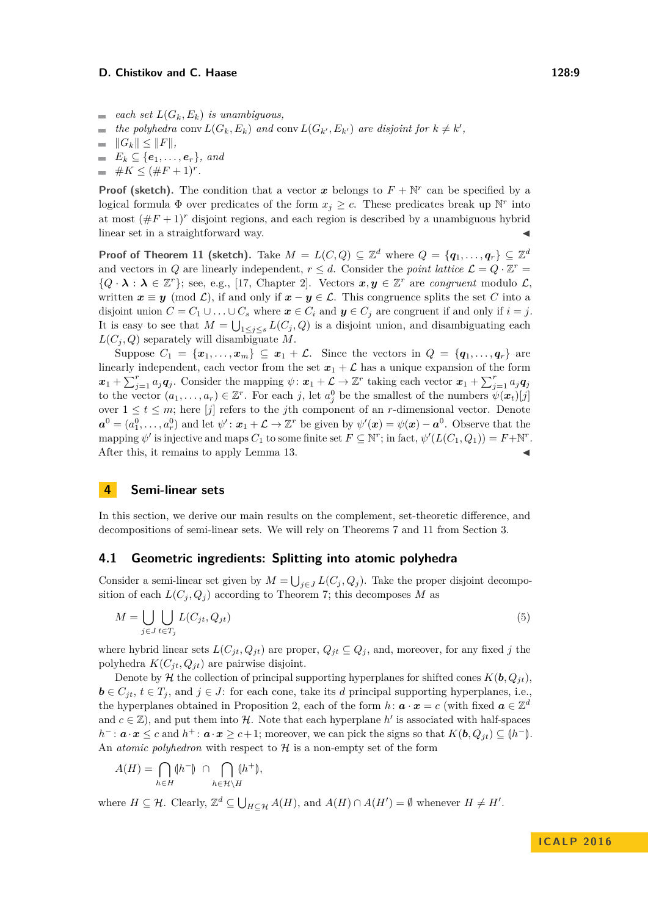- $\equiv$  *each set*  $L(G_k, E_k)$  *is unambiguous,*
- *the polyhedra* conv  $L(G_k, E_k)$  *and* conv  $L(G_{k'}, E_{k'})$  *are disjoint for*  $k \neq k'$ ,  $\sim$

$$
= \|G_k\| \le \|F\|,
$$

- $E_k \subseteq \{e_1, \ldots, e_r\}$ *, and*
- $\#K \leq (\#F+1)^{r}.$

**Proof (sketch).** The condition that a vector *x* belongs to  $F + \mathbb{N}^r$  can be specified by a logical formula  $\Phi$  over predicates of the form  $x_j \geq c$ . These predicates break up N<sup>r</sup> into at most  $(\#F + 1)^r$  disjoint regions, and each region is described by a unambiguous hybrid linear set in a straightforward way.

**Proof of Theorem [11](#page-7-2) (sketch).** Take  $M = L(C, Q) \subseteq \mathbb{Z}^d$  where  $Q = \{q_1, \ldots, q_r\} \subseteq \mathbb{Z}^d$ and vectors in *Q* are linearly independent,  $r \leq d$ . Consider the *point lattice*  $\mathcal{L} = Q \cdot \mathbb{Z}^r =$  ${Q \cdot \lambda : \lambda \in \mathbb{Z}^r}$ ; see, e.g., [\[17,](#page-12-20) Chapter 2]. Vectors  $x, y \in \mathbb{Z}^r$  are *congruent* modulo  $\mathcal{L}$ , written  $x \equiv y \pmod{\mathcal{L}}$ , if and only if  $x - y \in \mathcal{L}$ . This congruence splits the set C into a disjoint union  $C = C_1 \cup \ldots \cup C_s$  where  $x \in C_i$  and  $y \in C_j$  are congruent if and only if  $i = j$ . It is easy to see that  $M = \bigcup_{1 \leq j \leq s} L(C_j, Q)$  is a disjoint union, and disambiguating each  $L(C_i, Q)$  separately will disambiguate M.

Suppose  $C_1 = \{x_1, \ldots, x_m\} \subseteq x_1 + \mathcal{L}$ . Since the vectors in  $Q = \{q_1, \ldots, q_r\}$  are linearly independent, each vector from the set  $x_1 + \mathcal{L}$  has a unique expansion of the form  $x_1 + \sum_{j=1}^r a_j q_j$ . Consider the mapping  $\psi \colon x_1 + \mathcal{L} \to \mathbb{Z}^r$  taking each vector  $x_1 + \sum_{j=1}^r a_j q_j$ to the vector  $(a_1, \ldots, a_r) \in \mathbb{Z}^r$ . For each *j*, let  $a_j^0$  be the smallest of the numbers  $\psi(\boldsymbol{x}_t)[j]$ over  $1 \leq t \leq m$ ; here [*j*] refers to the *j*th component of an *r*-dimensional vector. Denote  $a^0 = (a_1^0, \ldots, a_r^0)$  and let  $\psi' : x_1 + \mathcal{L} \to \mathbb{Z}^r$  be given by  $\psi'(\mathbf{x}) = \psi(\mathbf{x}) - \mathbf{a}^0$ . Observe that the mapping  $\psi'$  is injective and maps  $C_1$  to some finite set  $F \subseteq \mathbb{N}^r$ ; in fact,  $\psi'(L(C_1, Q_1)) = F + \mathbb{N}^r$ . After this, it remains to apply Lemma [13.](#page-7-3)

# <span id="page-8-0"></span>**4 Semi-linear sets**

In this section, we derive our main results on the complement, set-theoretic difference, and decompositions of semi-linear sets. We will rely on Theorems [7](#page-5-2) and [11](#page-7-2) from Section [3.](#page-5-1)

### <span id="page-8-2"></span>**4.1 Geometric ingredients: Splitting into atomic polyhedra**

Consider a semi-linear set given by  $M = \bigcup_{j \in J} L(C_j, Q_j)$ . Take the proper disjoint decomposition of each  $L(C_i, Q_i)$  according to Theorem [7;](#page-5-2) this decomposes *M* as

<span id="page-8-1"></span>
$$
M = \bigcup_{j \in J} \bigcup_{t \in T_j} L(C_{jt}, Q_{jt}) \tag{5}
$$

where hybrid linear sets  $L(C_{it}, Q_{it})$  are proper,  $Q_{it} \subseteq Q_i$ , and, moreover, for any fixed *j* the polyhedra  $K(C_{jt}, Q_{jt})$  are pairwise disjoint.

Denote by H the collection of principal supporting hyperplanes for shifted cones  $K(b, Q<sub>it</sub>)$ ,  $\mathbf{b} \in C_{jt}, t \in T_j$ , and  $j \in J$ : for each cone, take its *d* principal supporting hyperplanes, i.e., the hyperplanes obtained in Proposition [2,](#page-4-2) each of the form  $h: \mathbf{a} \cdot \mathbf{x} = c$  (with fixed  $\mathbf{a} \in \mathbb{Z}^d$ and  $c \in \mathbb{Z}$ ), and put them into H. Note that each hyperplane  $h'$  is associated with half-spaces *h*<sup>−</sup> : *a* ·*x* ≤ *c* and *h*<sup>+</sup> : *a* ·*x* ≥ *c*+1; moreover, we can pick the signs so that *K*(*b, Q<sub>jt</sub>*) ⊆ (*h*<sup>−</sup>). An *atomic polyhedron* with respect to  $H$  is a non-empty set of the form

$$
A(H) = \bigcap_{h \in H} (\!h^- \!)\ \cap \bigcap_{h \in \mathcal{H} \setminus H} (\!h^+ \!),
$$

where  $H \subseteq \mathcal{H}$ . Clearly,  $\mathbb{Z}^d \subseteq \bigcup_{H \subseteq \mathcal{H}} A(H)$ , and  $A(H) \cap A(H') = \emptyset$  whenever  $H \neq H'$ .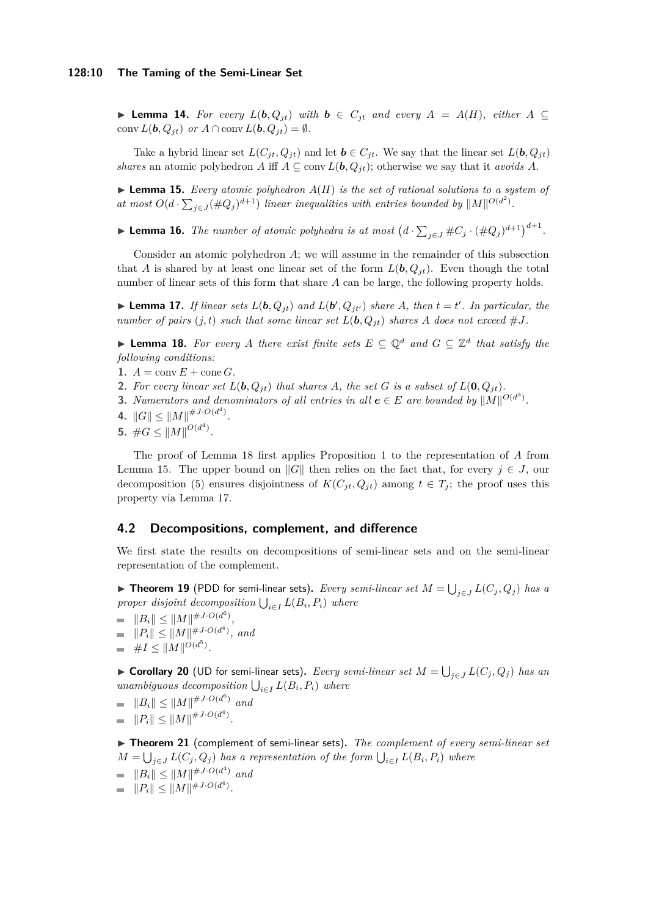### **128:10 The Taming of the Semi-Linear Set**

▶ **Lemma 14.** For every  $L(b, Q_{it})$  with  $b \in C_{it}$  and every  $A = A(H)$ , either  $A ⊆$ conv  $L(\boldsymbol{b}, Q_{it})$  or  $A \cap \text{conv } L(\boldsymbol{b}, Q_{it}) = \emptyset$ .

Take a hybrid linear set  $L(C_{jt}, Q_{jt})$  and let  $\mathbf{b} \in C_{jt}$ . We say that the linear set  $L(\mathbf{b}, Q_{jt})$ *shares* an atomic polyhedron *A* iff  $A \subseteq \text{conv } L(\boldsymbol{b}, Q_{it})$ ; otherwise we say that it *avoids A*.

<span id="page-9-1"></span> $\blacktriangleright$  **Lemma 15.** *Every atomic polyhedron*  $A(H)$  *is the set of rational solutions to a system of* at most  $O(d \cdot \sum_{j \in J} (\#Q_j)^{d+1})$  *linear inequalities with entries bounded by*  $||M||^{O(d^2)}$ .

<span id="page-9-6"></span>▶ **Lemma 16.** *The number of atomic polyhedra is at most*  $(d \cdot \sum_{j \in J} \# C_j \cdot (\# Q_j)^{d+1})^{d+1}$ .

Consider an atomic polyhedron *A*; we will assume in the remainder of this subsection that *A* is shared by at least one linear set of the form  $L(\boldsymbol{b}, Q_{it})$ . Even though the total number of linear sets of this form that share *A* can be large, the following property holds.

<span id="page-9-2"></span>**Example 17.** If linear sets  $L(\boldsymbol{b}, Q_{jt})$  and  $L(\boldsymbol{b}', Q_{jt'})$  share A, then  $t = t'$ . In particular, the *number of pairs*  $(j, t)$  *such that some linear set*  $L(b, Q_{it})$  *shares A does not exceed* #*J*.

<span id="page-9-0"></span>▶ **Lemma 18.** For every A there exist finite sets  $E \subseteq \mathbb{Q}^d$  and  $G \subseteq \mathbb{Z}^d$  that satisfy the *following conditions:*

- 1.  $A = \text{conv } E + \text{cone } G$ .
- **2.** For every linear set  $L(\mathbf{b}, Q_{it})$  that shares A, the set G is a subset of  $L(\mathbf{0}, Q_{it})$ .
- **3.** *Numerators and denominators of all entries in all*  $e \in E$  *are bounded by*  $||M||^{O(d^3)}$ .
- **4.**  $||G|| \leq ||M||^{#J \cdot O(d^4)}$ .
- **5.**  $\#G \leq ||M||^{O(d^4)}$ .

The proof of Lemma [18](#page-9-0) first applies Proposition [1](#page-4-3) to the representation of *A* from Lemma [15.](#page-9-1) The upper bound on  $||G||$  then relies on the fact that, for every  $j \in J$ , our decomposition [\(5\)](#page-8-1) ensures disjointness of  $K(C_{it}, Q_{it})$  among  $t \in T_i$ ; the proof uses this property via Lemma [17.](#page-9-2)

# **4.2 Decompositions, complement, and difference**

We first state the results on decompositions of semi-linear sets and on the semi-linear representation of the complement.

<span id="page-9-3"></span>▶ **Theorem 19** (PDD for semi-linear sets). *Every semi-linear set*  $M = \bigcup_{j \in J} L(C_j, Q_j)$  *has a proper disjoint decomposition*  $\bigcup_{i \in I} L(B_i, P_i)$  *where* 

- $||B_i|| \leq ||M||^{#J \cdot O(d^6)},$
- $||P_i|| \leq ||M||^{#J \cdot O(d^4)},$  and
- $\#I \leq ||M||^{O(d^5)}$ .  $\blacksquare$

<span id="page-9-5"></span>▶ **Corollary 20** (UD for semi-linear sets). *Every semi-linear set*  $M = \bigcup_{j \in J} L(C_j, Q_j)$  *has an*  $unambiguous \ decomposition \bigcup_{i \in I} L(B_i, P_i) \ where$ 

 $||B_i|| \leq ||M||^{#J \cdot O(d^6)}$  and

$$
= \|P_i\| \le \|M\|^{\#J \cdot O(d^4)}.
$$

<span id="page-9-4"></span>▶ Theorem 21 (complement of semi-linear sets). The complement of every semi-linear set  $M = \bigcup_{j \in J} L(C_j, Q_j)$  *has a representation of the form*  $\bigcup_{i \in I} L(B_i, P_i)$  *where* 

- $||B_i|| \leq ||M||^{HJ \cdot O(d^4)}$  *and*
- $||P_i|| \leq ||M||^{#J \cdot O(d^4)}.$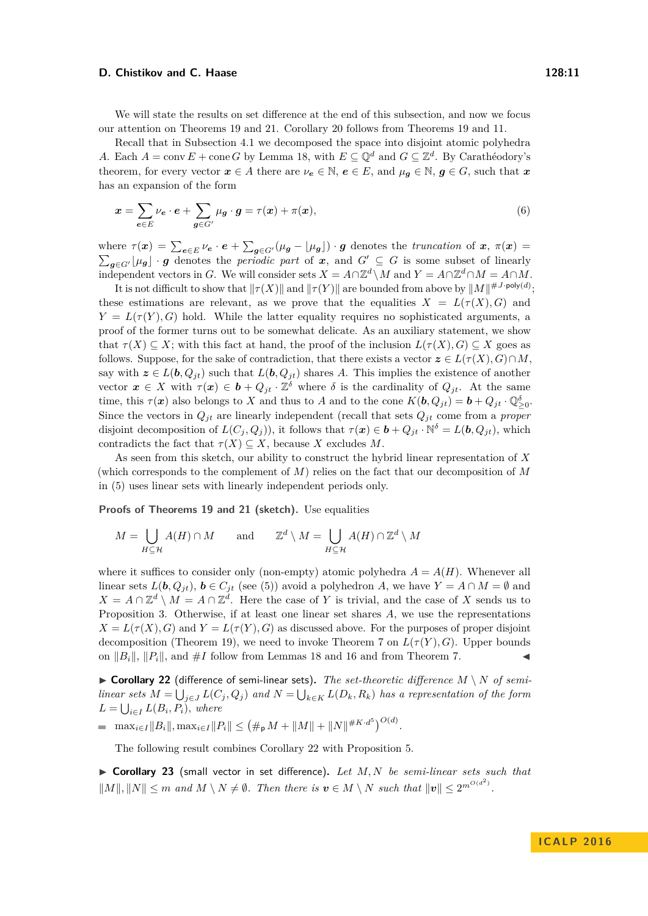#### **D. Chistikov and C. Haase 128:11** 128:11

We will state the results on set difference at the end of this subsection, and now we focus our attention on Theorems [19](#page-9-3) and [21.](#page-9-4) Corollary [20](#page-9-5) follows from Theorems [19](#page-9-3) and [11.](#page-7-2)

Recall that in Subsection [4.1](#page-8-2) we decomposed the space into disjoint atomic polyhedra *A*. Each  $A = \text{conv } E + \text{cone } G$  by Lemma [18,](#page-9-0) with  $E \subseteq \mathbb{Q}^d$  and  $G \subseteq \mathbb{Z}^d$ . By Carathéodory's theorem, for every vector  $x \in A$  there are  $\nu_e \in \mathbb{N}$ ,  $e \in E$ , and  $\mu_g \in \mathbb{N}$ ,  $g \in G$ , such that  $x$ has an expansion of the form

$$
\mathbf{x} = \sum_{\mathbf{e} \in E} \nu_{\mathbf{e}} \cdot \mathbf{e} + \sum_{\mathbf{g} \in G'} \mu_{\mathbf{g}} \cdot \mathbf{g} = \tau(\mathbf{x}) + \pi(\mathbf{x}),\tag{6}
$$

where  $\tau(x) = \sum_{e \in E} \nu_e \cdot e + \sum_{g \in G'} (\mu_g - \lfloor \mu_g \rfloor) \cdot g$  denotes the *truncation* of  $x, \pi(x) =$  $\sum_{g \in G'} \lfloor \mu_g \rfloor \cdot g$  denotes the *periodic part* of *x*, and  $G' \subseteq G$  is some subset of linearly independent vectors in *G*. We will consider sets  $X = A \cap \mathbb{Z}^d \setminus M$  and  $Y = A \cap \mathbb{Z}^d \cap M = A \cap M$ .

It is not difficult to show that  $\|\tau(X)\|$  and  $\|\tau(Y)\|$  are bounded from above by  $\|M\|^{ \# J \cdot \mathsf{poly}(d)}$ ; these estimations are relevant, as we prove that the equalities  $X = L(\tau(X), G)$  and  $Y = L(\tau(Y), G)$  hold. While the latter equality requires no sophisticated arguments, a proof of the former turns out to be somewhat delicate. As an auxiliary statement, we show that  $\tau(X) \subseteq X$ ; with this fact at hand, the proof of the inclusion  $L(\tau(X), G) \subseteq X$  goes as follows. Suppose, for the sake of contradiction, that there exists a vector  $z \in L(\tau(X), G) \cap M$ , say with  $z \in L(b, Q_{jt})$  such that  $L(b, Q_{jt})$  shares *A*. This implies the existence of another vector  $x \in X$  with  $\tau(x) \in b + Q_{jt} \cdot \mathbb{Z}^{\delta}$  where  $\delta$  is the cardinality of  $Q_{jt}$ . At the same time, this  $\tau(\mathbf{x})$  also belongs to *X* and thus to *A* and to the cone  $K(\mathbf{b}, Q_{jt}) = \mathbf{b} + Q_{jt} \cdot \mathbb{Q}_{\geq 0}^{\delta}$ . Since the vectors in  $Q_{jt}$  are linearly independent (recall that sets  $Q_{jt}$  come from a *proper* disjoint decomposition of  $L(C_j, Q_j)$ , it follows that  $\tau(\mathbf{x}) \in \mathbf{b} + Q_{jt} \cdot \mathbb{N}^{\delta} = L(\mathbf{b}, Q_{jt})$ , which contradicts the fact that  $\tau(X) \subseteq X$ , because *X* excludes *M*.

As seen from this sketch, our ability to construct the hybrid linear representation of *X* (which corresponds to the complement of *M*) relies on the fact that our decomposition of *M* in [\(5\)](#page-8-1) uses linear sets with linearly independent periods only.

**Proofs of Theorems [19](#page-9-3) and [21](#page-9-4) (sketch).** Use equalities

$$
M = \bigcup_{H \subseteq \mathcal{H}} A(H) \cap M \quad \text{and} \quad \mathbb{Z}^d \setminus M = \bigcup_{H \subseteq \mathcal{H}} A(H) \cap \mathbb{Z}^d \setminus M
$$

where it suffices to consider only (non-empty) atomic polyhedra  $A = A(H)$ . Whenever all linear sets  $L(b, Q_{jt})$ ,  $b \in C_{jt}$  (see [\(5\)](#page-8-1)) avoid a polyhedron *A*, we have  $Y = A \cap M = \emptyset$  and  $X = A \cap \mathbb{Z}^d \setminus M = A \cap \mathbb{Z}^d$ . Here the case of *Y* is trivial, and the case of *X* sends us to Proposition [3.](#page-4-4) Otherwise, if at least one linear set shares *A*, we use the representations  $X = L(\tau(X), G)$  and  $Y = L(\tau(Y), G)$  as discussed above. For the purposes of proper disjoint decomposition (Theorem [19\)](#page-9-3), we need to invoke Theorem [7](#page-5-2) on  $L(\tau(Y), G)$ . Upper bounds on  $||B_i||$ ,  $||P_i||$ , and  $\#I$  follow from Lemmas [18](#page-9-0) and [16](#page-9-6) and from Theorem [7.](#page-5-2)

<span id="page-10-0"></span> $\triangleright$  **Corollary 22** (difference of semi-linear sets). The set-theoretic difference  $M \setminus N$  of semi*linear sets*  $M = \bigcup_{j \in J} L(C_j, Q_j)$  and  $N = \bigcup_{k \in K} L(D_k, R_k)$  has a representation of the form  $L = \bigcup_{i \in I} L(B_i, P_i)$ *, where* 

 $\max_{i \in I} \|B_i\|, \max_{i \in I} \|P_i\| \le (\#_{\mathsf{p}} M + \|M\| + \|N\|^{\#K \cdot d^5})^{O(d)}.$ 

The following result combines Corollary [22](#page-10-0) with Proposition [5.](#page-4-0)

<span id="page-10-1"></span>▶ Corollary 23 (small vector in set difference). Let M, N be semi-linear sets such that  $||M||, ||N|| \leq m$  and  $M \setminus N \neq \emptyset$ . Then there is  $v \in M \setminus N$  such that  $||v|| \leq 2^{m^{O(d^2)}}$ .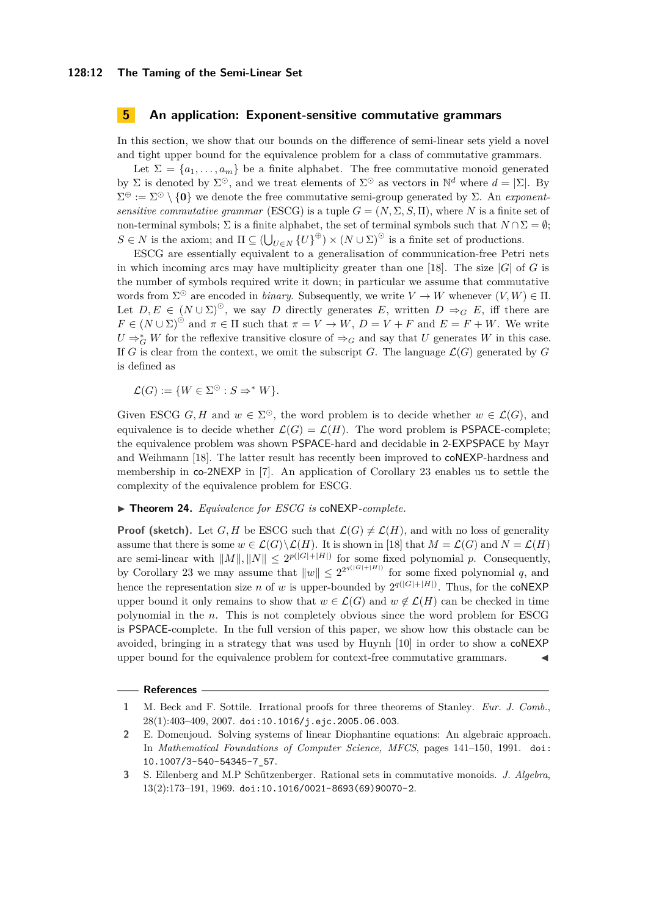### **5 An application: Exponent-sensitive commutative grammars**

In this section, we show that our bounds on the difference of semi-linear sets yield a novel and tight upper bound for the equivalence problem for a class of commutative grammars.

Let  $\Sigma = \{a_1, \ldots, a_m\}$  be a finite alphabet. The free commutative monoid generated by  $\Sigma$  is denoted by  $\Sigma^{\odot}$ , and we treat elements of  $\Sigma^{\odot}$  as vectors in  $\mathbb{N}^d$  where  $d = |\Sigma|$ . By  $\Sigma^{\oplus} := \Sigma^{\odot} \setminus \{0\}$  we denote the free commutative semi-group generated by  $\Sigma$ . An *exponentsensitive commutative grammar* (ESCG) is a tuple  $G = (N, \Sigma, S, \Pi)$ , where N is a finite set of non-terminal symbols;  $\Sigma$  is a finite alphabet, the set of terminal symbols such that  $N \cap \Sigma = \emptyset$ ;  $S \in N$  is the axiom; and  $\Pi \subseteq (\bigcup_{U \in N} {\{U\}}^{\oplus}) \times (N \cup \Sigma)^{\odot}$  is a finite set of productions.

ESCG are essentially equivalent to a generalisation of communication-free Petri nets in which incoming arcs may have multiplicity greater than one [\[18\]](#page-12-3). The size  $|G|$  of *G* is the number of symbols required write it down; in particular we assume that commutative words from  $\Sigma^{\odot}$  are encoded in *binary*. Subsequently, we write  $V \to W$  whenever  $(V, W) \in \Pi$ . Let  $D, E \in (N \cup \Sigma)^{\odot}$ , we say *D* directly generates *E*, written  $D \Rightarrow_G E$ , iff there are  $F \in (N \cup \Sigma)^\odot$  and  $\pi \in \Pi$  such that  $\pi = V \to W$ ,  $D = V + F$  and  $E = F + W$ . We write  $U \Rightarrow_G^* W$  for the reflexive transitive closure of  $\Rightarrow_G$  and say that *U* generates *W* in this case. If *G* is clear from the context, we omit the subscript *G*. The language  $\mathcal{L}(G)$  generated by *G* is defined as

 $\mathcal{L}(G) := \{ W \in \Sigma^{\odot} : S \Rightarrow^* W \}.$ 

Given ESCG G, H and  $w \in \Sigma^{\odot}$ , the word problem is to decide whether  $w \in \mathcal{L}(G)$ , and equivalence is to decide whether  $\mathcal{L}(G) = \mathcal{L}(H)$ . The word problem is **PSPACE**-complete; the equivalence problem was shown PSPACE-hard and decidable in 2-EXPSPACE by Mayr and Weihmann [\[18\]](#page-12-3). The latter result has recently been improved to coNEXP-hardness and membership in co-2NEXP in [\[7\]](#page-12-21). An application of Corollary [23](#page-10-1) enables us to settle the complexity of the equivalence problem for ESCG.

▶ **Theorem 24.** *Equivalence for ESCG is* coNEXP-*complete.* 

**Proof (sketch).** Let *G*, *H* be ESCG such that  $\mathcal{L}(G) \neq \mathcal{L}(H)$ , and with no loss of generality assume that there is some  $w \in \mathcal{L}(G) \backslash \mathcal{L}(H)$ . It is shown in [\[18\]](#page-12-3) that  $M = \mathcal{L}(G)$  and  $N = \mathcal{L}(H)$ are semi-linear with  $||M||, ||N|| \leq 2^{p(|G|+|H|)}$  for some fixed polynomial *p*. Consequently, by Corollary [23](#page-10-1) we may assume that  $||w|| \leq 2^{2^{q(|G|+|H|)}}$  for some fixed polynomial *q*, and hence the representation size *n* of *w* is upper-bounded by  $2^{q(|G|+|H|)}$ . Thus, for the **coNEXP** upper bound it only remains to show that  $w \in \mathcal{L}(G)$  and  $w \notin \mathcal{L}(H)$  can be checked in time polynomial in the *n*. This is not completely obvious since the word problem for ESCG is PSPACE-complete. In the full version of this paper, we show how this obstacle can be avoided, bringing in a strategy that was used by Huynh [\[10\]](#page-12-2) in order to show a coNEXP upper bound for the equivalence problem for context-free commutative grammars. J

#### **References**

<span id="page-11-1"></span>**<sup>1</sup>** M. Beck and F. Sottile. Irrational proofs for three theorems of Stanley. *Eur. J. Comb.*, 28(1):403–409, 2007. [doi:10.1016/j.ejc.2005.06.003](http://dx.doi.org/10.1016/j.ejc.2005.06.003).

**<sup>2</sup>** E. Domenjoud. Solving systems of linear Diophantine equations: An algebraic approach. In *Mathematical Foundations of Computer Science, MFCS*, pages 141–150, 1991. [doi:](http://dx.doi.org/10.1007/3-540-54345-7_57) [10.1007/3-540-54345-7\\_57](http://dx.doi.org/10.1007/3-540-54345-7_57).

<span id="page-11-0"></span>**<sup>3</sup>** S. Eilenberg and M.P Schützenberger. Rational sets in commutative monoids. *J. Algebra*, 13(2):173–191, 1969. [doi:10.1016/0021-8693\(69\)90070-2](http://dx.doi.org/10.1016/0021-8693(69)90070-2).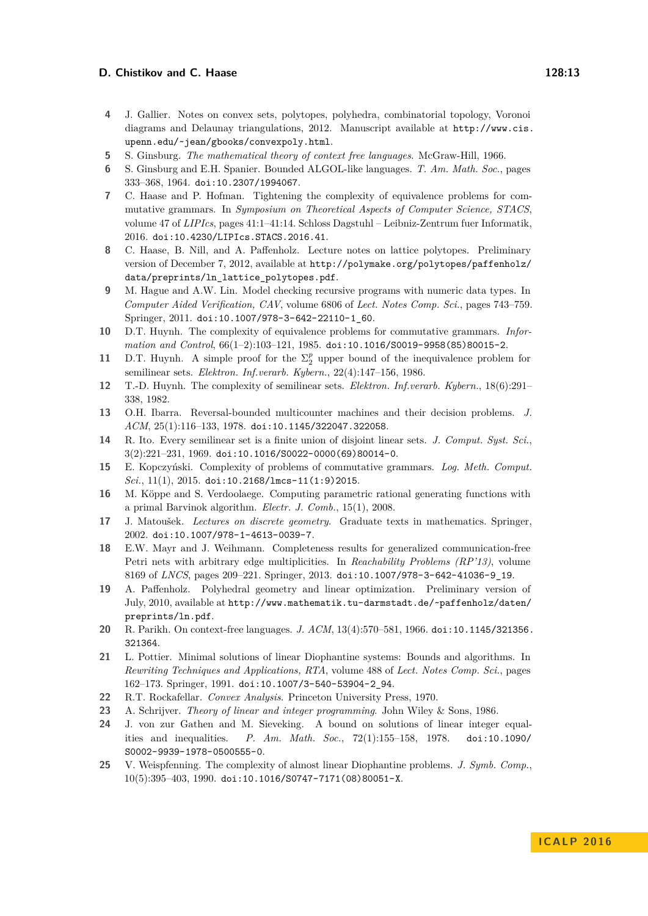### **D. Chistikov and C. Haase 128:13** 128:13

- <span id="page-12-13"></span>**4** J. Gallier. Notes on convex sets, polytopes, polyhedra, combinatorial topology, Voronoi diagrams and Delaunay triangulations, 2012. Manuscript available at [http://www.cis.](http://www.cis.upenn.edu/~jean/gbooks/convexpoly.html) [upenn.edu/~jean/gbooks/convexpoly.html](http://www.cis.upenn.edu/~jean/gbooks/convexpoly.html).
- <span id="page-12-9"></span>**5** S. Ginsburg. *The mathematical theory of context free languages*. McGraw-Hill, 1966.
- <span id="page-12-1"></span>**6** S. Ginsburg and E.H. Spanier. Bounded ALGOL-like languages. *T. Am. Math. Soc.*, pages 333–368, 1964. [doi:10.2307/1994067](http://dx.doi.org/10.2307/1994067).
- <span id="page-12-21"></span>**7** C. Haase and P. Hofman. Tightening the complexity of equivalence problems for commutative grammars. In *Symposium on Theoretical Aspects of Computer Science, STACS*, volume 47 of *LIPIcs*, pages 41:1–41:14. Schloss Dagstuhl – Leibniz-Zentrum fuer Informatik, 2016. [doi:10.4230/LIPIcs.STACS.2016.41](http://dx.doi.org/10.4230/LIPIcs.STACS.2016.41).
- <span id="page-12-19"></span>**8** C. Haase, B. Nill, and A. Paffenholz. Lecture notes on lattice polytopes. Preliminary version of December 7, 2012, available at [http://polymake.org/polytopes/paffenholz/](http://polymake.org/polytopes/paffenholz/data/preprints/ln_lattice_polytopes.pdf) [data/preprints/ln\\_lattice\\_polytopes.pdf](http://polymake.org/polytopes/paffenholz/data/preprints/ln_lattice_polytopes.pdf).
- <span id="page-12-5"></span>**9** M. Hague and A.W. Lin. Model checking recursive programs with numeric data types. In *Computer Aided Verification, CAV*, volume 6806 of *Lect. Notes Comp. Sci.*, pages 743–759. Springer, 2011. [doi:10.1007/978-3-642-22110-1\\_60](http://dx.doi.org/10.1007/978-3-642-22110-1_60).
- <span id="page-12-2"></span>**10** D.T. Huynh. The complexity of equivalence problems for commutative grammars. *Information and Control*, 66(1–2):103–121, 1985. [doi:10.1016/S0019-9958\(85\)80015-2](http://dx.doi.org/10.1016/S0019-9958(85)80015-2).
- <span id="page-12-7"></span>**11** D.T. Huynh. A simple proof for the  $\Sigma_2^p$  upper bound of the inequivalence problem for semilinear sets. *Elektron. Inf.verarb. Kybern.*, 22(4):147–156, 1986.
- <span id="page-12-6"></span>**12** T.-D. Huynh. The complexity of semilinear sets. *Elektron. Inf.verarb. Kybern.*, 18(6):291– 338, 1982.
- <span id="page-12-4"></span>**13** O.H. Ibarra. Reversal-bounded multicounter machines and their decision problems. *J. ACM*, 25(1):116–133, 1978. [doi:10.1145/322047.322058](http://dx.doi.org/10.1145/322047.322058).
- <span id="page-12-10"></span>**14** R. Ito. Every semilinear set is a finite union of disjoint linear sets. *J. Comput. Syst. Sci.*, 3(2):221–231, 1969. [doi:10.1016/S0022-0000\(69\)80014-0](http://dx.doi.org/10.1016/S0022-0000(69)80014-0).
- <span id="page-12-11"></span>**15** E. Kopczyński. Complexity of problems of commutative grammars. *Log. Meth. Comput. Sci.*, 11(1), 2015. [doi:10.2168/lmcs-11\(1:9\)2015](http://dx.doi.org/10.2168/lmcs-11(1:9)2015).
- <span id="page-12-18"></span>**16** M. Köppe and S. Verdoolaege. Computing parametric rational generating functions with a primal Barvinok algorithm. *Electr. J. Comb.*, 15(1), 2008.
- <span id="page-12-20"></span>**17** J. Matoušek. *Lectures on discrete geometry*. Graduate texts in mathematics. Springer, 2002. [doi:10.1007/978-1-4613-0039-7](http://dx.doi.org/10.1007/978-1-4613-0039-7).
- <span id="page-12-3"></span>**18** E.W. Mayr and J. Weihmann. Completeness results for generalized communication-free Petri nets with arbitrary edge multiplicities. In *Reachability Problems (RP'13)*, volume 8169 of *LNCS*, pages 209–221. Springer, 2013. [doi:10.1007/978-3-642-41036-9\\_19](http://dx.doi.org/10.1007/978-3-642-41036-9_19).
- <span id="page-12-14"></span>**19** A. Paffenholz. Polyhedral geometry and linear optimization. Preliminary version of July, 2010, available at [http://www.mathematik.tu-darmstadt.de/~paffenholz/daten/](http://www.mathematik.tu-darmstadt.de/~paffenholz/daten/preprints/ln.pdf) [preprints/ln.pdf](http://www.mathematik.tu-darmstadt.de/~paffenholz/daten/preprints/ln.pdf).
- <span id="page-12-0"></span>**20** R. Parikh. On context-free languages. *J. ACM*, 13(4):570–581, 1966. [doi:10.1145/321356.](http://dx.doi.org/10.1145/321356.321364) [321364](http://dx.doi.org/10.1145/321356.321364).
- <span id="page-12-17"></span>**21** L. Pottier. Minimal solutions of linear Diophantine systems: Bounds and algorithms. In *Rewriting Techniques and Applications, RTA*, volume 488 of *Lect. Notes Comp. Sci.*, pages 162–173. Springer, 1991. [doi:10.1007/3-540-53904-2\\_94](http://dx.doi.org/10.1007/3-540-53904-2_94).
- <span id="page-12-12"></span>**22** R.T. Rockafellar. *Convex Analysis*. Princeton University Press, 1970.
- <span id="page-12-15"></span>**23** A. Schrijver. *Theory of linear and integer programming*. John Wiley & Sons, 1986.
- <span id="page-12-16"></span>**24** J. von zur Gathen and M. Sieveking. A bound on solutions of linear integer equalities and inequalities. *P. Am. Math. Soc.*, 72(1):155–158, 1978. [doi:10.1090/](http://dx.doi.org/10.1090/S0002-9939-1978-0500555-0) [S0002-9939-1978-0500555-0](http://dx.doi.org/10.1090/S0002-9939-1978-0500555-0).
- <span id="page-12-8"></span>**25** V. Weispfenning. The complexity of almost linear Diophantine problems. *J. Symb. Comp.*, 10(5):395–403, 1990. [doi:10.1016/S0747-7171\(08\)80051-X](http://dx.doi.org/10.1016/S0747-7171(08)80051-X).